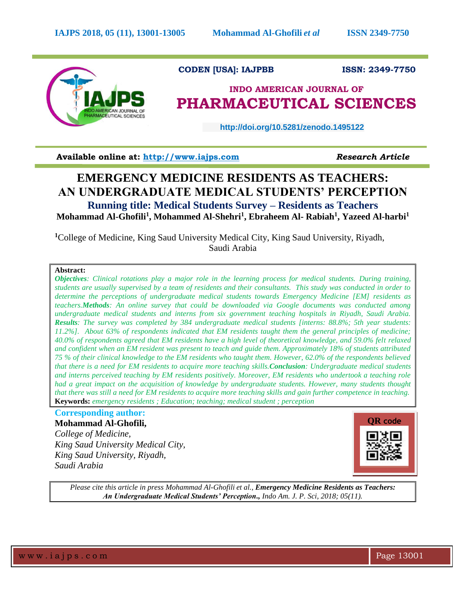

 **CODEN [USA]: IAJPBB ISSN: 2349-7750**

## **INDO AMERICAN JOURNAL OF PHARMACEUTICAL SCIENCES**

 **http://doi.org/10.5281/zenodo.1495122** 

**Available online at: [http://www.iajps.com](http://www.iajps.com/)** *Research Article*

# **EMERGENCY MEDICINE RESIDENTS AS TEACHERS: AN UNDERGRADUATE MEDICAL STUDENTS' PERCEPTION**

**Running title: Medical Students Survey – Residents as Teachers Mohammad Al-Ghofili<sup>1</sup> , Mohammed Al-Shehri<sup>1</sup> , Ebraheem Al- Rabiah<sup>1</sup> , Yazeed Al-harbi<sup>1</sup>**

**<sup>1</sup>**College of Medicine, King Saud University Medical City, King Saud University, Riyadh, Saudi Arabia

## **Abstract:**

*Objectives: Clinical rotations play a major role in the learning process for medical students. During training, students are usually supervised by a team of residents and their consultants. This study was conducted in order to determine the perceptions of undergraduate medical students towards Emergency Medicine [EM] residents as teachers.Methods: An online survey that could be downloaded via Google documents was conducted among undergraduate medical students and interns from six government teaching hospitals in Riyadh, Saudi Arabia. Results: The survey was completed by 384 undergraduate medical students [interns: 88.8%; 5th year students: 11.2%]. About 63% of respondents indicated that EM residents taught them the general principles of medicine; 40.0% of respondents agreed that EM residents have a high level of theoretical knowledge, and 59.0% felt relaxed and confident when an EM resident was present to teach and guide them. Approximately 18% of students attributed 75 % of their clinical knowledge to the EM residents who taught them. However, 62.0% of the respondents believed that there is a need for EM residents to acquire more teaching skills.Conclusion: Undergraduate medical students and interns perceived teaching by EM residents positively. Moreover, EM residents who undertook a teaching role had a great impact on the acquisition of knowledge by undergraduate students. However, many students thought that there was still a need for EM residents to acquire more teaching skills and gain further competence in teaching.*  **Keywords:** *emergency residents ; Education; teaching; medical student ; perception*

## **Corresponding author:**

**Mohammad Al-Ghofili,**  *College of Medicine,* 

*King Saud University Medical City, King Saud University, Riyadh, Saudi Arabia*



*Please cite this article in press Mohammad Al-Ghofili et al., Emergency Medicine Residents as Teachers: An Undergraduate Medical Students' Perception., Indo Am. J. P. Sci, 2018; 05(11).*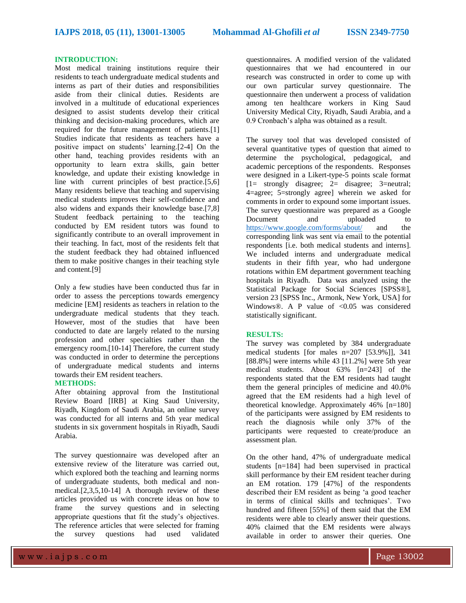#### **INTRODUCTION:**

Most medical training institutions require their residents to teach undergraduate medical students and interns as part of their duties and responsibilities aside from their clinical duties. Residents are involved in a multitude of educational experiences designed to assist students develop their critical thinking and decision-making procedures, which are required for the future management of patients.[1] Studies indicate that residents as teachers have a positive impact on students' learning.[2-4] On the other hand, teaching provides residents with an opportunity to learn extra skills, gain better knowledge, and update their existing knowledge in line with current principles of best practice.[5,6] Many residents believe that teaching and supervising medical students improves their self-confidence and also widens and expands their knowledge base.[7,8] Student feedback pertaining to the teaching conducted by EM resident tutors was found to significantly contribute to an overall improvement in their teaching. In fact, most of the residents felt that the student feedback they had obtained influenced them to make positive changes in their teaching style and content.[9]

Only a few studies have been conducted thus far in order to assess the perceptions towards emergency medicine [EM] residents as teachers in relation to the undergraduate medical students that they teach. However, most of the studies that have been conducted to date are largely related to the nursing profession and other specialties rather than the emergency room.[10-14] Therefore, the current study was conducted in order to determine the perceptions of undergraduate medical students and interns towards their EM resident teachers.

#### **METHODS:**

After obtaining approval from the Institutional Review Board [IRB] at King Saud University, Riyadh, Kingdom of Saudi Arabia, an online survey was conducted for all interns and 5th year medical students in six government hospitals in Riyadh, Saudi Arabia.

The survey questionnaire was developed after an extensive review of the literature was carried out, which explored both the teaching and learning norms of undergraduate students, both medical and nonmedical. $[2,3,5,10-14]$  A thorough review of these articles provided us with concrete ideas on how to frame the survey questions and in selecting appropriate questions that fit the study's objectives. The reference articles that were selected for framing the survey questions had used validated

questionnaires. A modified version of the validated questionnaires that we had encountered in our research was constructed in order to come up with our own particular survey questionnaire. The questionnaire then underwent a process of validation among ten healthcare workers in King Saud University Medical City, Riyadh, Saudi Arabia, and a 0.9 Cronbach's alpha was obtained as a result.

The survey tool that was developed consisted of several quantitative types of question that aimed to determine the psychological, pedagogical, and academic perceptions of the respondents. Responses were designed in a Likert-type-5 points scale format [1= strongly disagree; 2= disagree; 3=neutral; 4=agree; 5=strongly agree] wherein we asked for comments in order to expound some important issues. The survey questionnaire was prepared as a Google Document and uploaded to <https://www.google.com/forms/about/> and the corresponding link was sent via email to the potential respondents [i.e. both medical students and interns]. We included interns and undergraduate medical students in their fifth year, who had undergone rotations within EM department government teaching hospitals in Riyadh. Data was analyzed using the Statistical Package for Social Sciences [SPSS®], version 23 [SPSS Inc., Armonk, New York, USA] for Windows®. A P value of  $< 0.05$  was considered statistically significant.

#### **RESULTS:**

The survey was completed by 384 undergraduate medical students [for males n=207 [53.9%]], 341 [88.8%] were interns while 43 [11.2%] were 5th year medical students. About 63% [n=243] of the respondents stated that the EM residents had taught them the general principles of medicine and 40.0% agreed that the EM residents had a high level of theoretical knowledge. Approximately 46% [n=180] of the participants were assigned by EM residents to reach the diagnosis while only 37% of the participants were requested to create/produce an assessment plan.

On the other hand, 47% of undergraduate medical students [n=184] had been supervised in practical skill performance by their EM resident teacher during an EM rotation. 179 [47%] of the respondents described their EM resident as being 'a good teacher in terms of clinical skills and techniques'. Two hundred and fifteen [55%] of them said that the EM residents were able to clearly answer their questions. 40% claimed that the EM residents were always available in order to answer their queries. One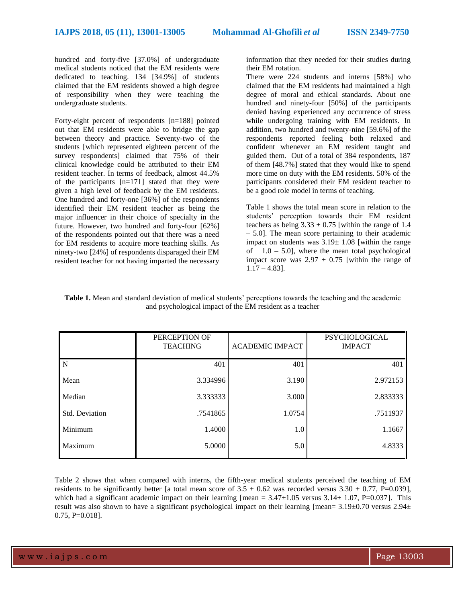hundred and forty-five [37.0%] of undergraduate medical students noticed that the EM residents were dedicated to teaching. 134 [34.9%] of students claimed that the EM residents showed a high degree of responsibility when they were teaching the undergraduate students.

Forty-eight percent of respondents [n=188] pointed out that EM residents were able to bridge the gap between theory and practice. Seventy-two of the students [which represented eighteen percent of the survey respondents] claimed that 75% of their clinical knowledge could be attributed to their EM resident teacher. In terms of feedback, almost 44.5% of the participants [n=171] stated that they were given a high level of feedback by the EM residents. One hundred and forty-one [36%] of the respondents identified their EM resident teacher as being the major influencer in their choice of specialty in the future. However, two hundred and forty-four [62%] of the respondents pointed out that there was a need for EM residents to acquire more teaching skills. As ninety-two [24%] of respondents disparaged their EM resident teacher for not having imparted the necessary

information that they needed for their studies during their EM rotation.

There were 224 students and interns [58%] who claimed that the EM residents had maintained a high degree of moral and ethical standards. About one hundred and ninety-four [50%] of the participants denied having experienced any occurrence of stress while undergoing training with EM residents. In addition, two hundred and twenty-nine [59.6%] of the respondents reported feeling both relaxed and confident whenever an EM resident taught and guided them. Out of a total of 384 respondents, 187 of them [48.7%] stated that they would like to spend more time on duty with the EM residents. 50% of the participants considered their EM resident teacher to be a good role model in terms of teaching.

Table 1 shows the total mean score in relation to the students' perception towards their EM resident teachers as being  $3.33 \pm 0.75$  [within the range of 1.4 – 5.0]. The mean score pertaining to their academic impact on students was  $3.19 \pm 1.08$  [within the range of  $1.0 - 5.0$ , where the mean total psychological impact score was  $2.97 \pm 0.75$  [within the range of  $1.17 - 4.83$ ].

**Table 1.** Mean and standard deviation of medical students' perceptions towards the teaching and the academic and psychological impact of the EM resident as a teacher

|                       | PERCEPTION OF<br><b>TEACHING</b> | <b>ACADEMIC IMPACT</b> | PSYCHOLOGICAL<br><b>IMPACT</b> |
|-----------------------|----------------------------------|------------------------|--------------------------------|
| N                     | 401                              | 401                    | 401                            |
| Mean                  | 3.334996                         | 3.190                  | 2.972153                       |
| Median                | 3.333333                         | 3.000                  | 2.833333                       |
| <b>Std. Deviation</b> | .7541865                         | 1.0754                 | .7511937                       |
| Minimum               | 1.4000                           | 1.0                    | 1.1667                         |
| Maximum               | 5.0000                           | 5.0                    | 4.8333                         |

Table 2 shows that when compared with interns, the fifth-year medical students perceived the teaching of EM residents to be significantly better [a total mean score of  $3.5 \pm 0.62$  was recorded versus  $3.30 \pm 0.77$ , P=0.039], which had a significant academic impact on their learning [mean =  $3.47\pm1.05$  versus  $3.14\pm1.07$ , P=0.037]. This result was also shown to have a significant psychological impact on their learning [mean=  $3.19\pm0.70$  versus  $2.94\pm$ 0.75, P=0.018].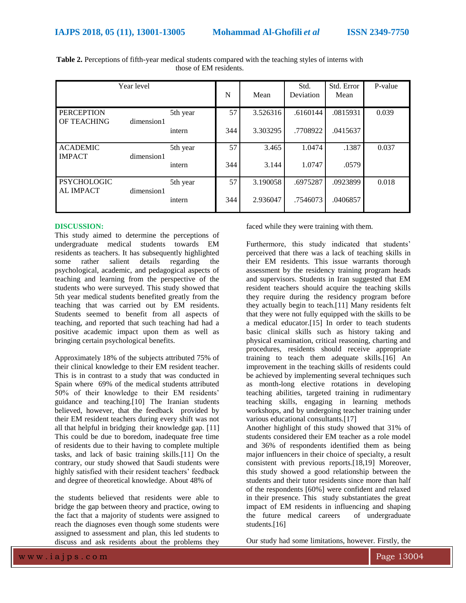| Year level                                           |            | N        | Mean | Std.<br>Deviation | Std. Error<br>Mean | P-value  |       |
|------------------------------------------------------|------------|----------|------|-------------------|--------------------|----------|-------|
| <b>PERCEPTION</b><br>OF TEACHING                     |            | 5th year | 57   | 3.526316          | .6160144           | .0815931 | 0.039 |
|                                                      | dimension1 | intern   | 344  | 3.303295          | .7708922           | .0415637 |       |
| <b>ACADEMIC</b>                                      | dimension1 | 5th year | 57   | 3.465             | 1.0474             | .1387    | 0.037 |
| <b>IMPACT</b>                                        |            | intern   | 344  | 3.144             | 1.0747             | .0579    |       |
| <b>PSYCHOLOGIC</b><br><b>AL IMPACT</b><br>dimension1 |            | 5th year | 57 I | 3.190058          | .6975287           | .0923899 | 0.018 |
|                                                      |            | intern   | 344  | 2.936047          | .7546073           | .0406857 |       |

**Table 2.** Perceptions of fifth-year medical students compared with the teaching styles of interns with those of EM residents.

### **DISCUSSION:**

This study aimed to determine the perceptions of undergraduate medical students towards EM residents as teachers. It has subsequently highlighted some rather salient details regarding the psychological, academic, and pedagogical aspects of teaching and learning from the perspective of the students who were surveyed. This study showed that 5th year medical students benefited greatly from the teaching that was carried out by EM residents. Students seemed to benefit from all aspects of teaching, and reported that such teaching had had a positive academic impact upon them as well as bringing certain psychological benefits.

Approximately 18% of the subjects attributed 75% of their clinical knowledge to their EM resident teacher. This is in contrast to a study that was conducted in Spain where 69% of the medical students attributed 50% of their knowledge to their EM residents' guidance and teaching.[10] The Iranian students believed, however, that the feedback provided by their EM resident teachers during every shift was not all that helpful in bridging their knowledge gap. [11] This could be due to boredom, inadequate free time of residents due to their having to complete multiple tasks, and lack of basic training skills.[11] On the contrary, our study showed that Saudi students were highly satisfied with their resident teachers' feedback and degree of theoretical knowledge. About 48% of

the students believed that residents were able to bridge the gap between theory and practice, owing to the fact that a majority of students were assigned to reach the diagnoses even though some students were assigned to assessment and plan, this led students to discuss and ask residents about the problems they faced while they were training with them.

Furthermore, this study indicated that students' perceived that there was a lack of teaching skills in their EM residents. This issue warrants thorough assessment by the residency training program heads and supervisors. Students in Iran suggested that EM resident teachers should acquire the teaching skills they require during the residency program before they actually begin to teach.[11] Many residents felt that they were not fully equipped with the skills to be a medical educator.[15] In order to teach students basic clinical skills such as history taking and physical examination, critical reasoning, charting and procedures, residents should receive appropriate training to teach them adequate skills.[16] An improvement in the teaching skills of residents could be achieved by implementing several techniques such as month-long elective rotations in developing teaching abilities, targeted training in rudimentary teaching skills, engaging in learning methods workshops, and by undergoing teacher training under various educational consultants.[17]

Another highlight of this study showed that 31% of students considered their EM teacher as a role model and 36% of respondents identified them as being major influencers in their choice of specialty, a result consistent with previous reports.[18,19] Moreover, this study showed a good relationship between the students and their tutor residents since more than half of the respondents [60%] were confident and relaxed in their presence. This study substantiates the great impact of EM residents in influencing and shaping the future medical careers of undergraduate students.[16]

Our study had some limitations, however. Firstly, the